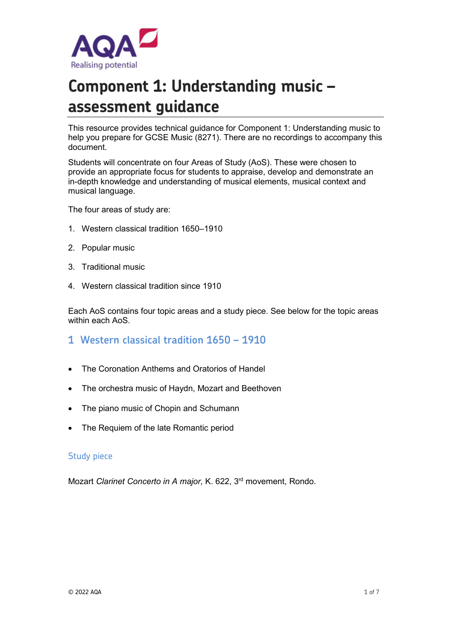

# **Component 1: Understanding music – assessment guidance**

This resource provides technical guidance for Component 1: Understanding music to help you prepare for GCSE Music (8271). There are no recordings to accompany this document.

Students will concentrate on four Areas of Study (AoS). These were chosen to provide an appropriate focus for students to appraise, develop and demonstrate an in-depth knowledge and understanding of musical elements, musical context and musical language.

The four areas of study are:

- 1. Western classical tradition 1650–1910
- 2. Popular music
- 3. Traditional music
- 4. Western classical tradition since 1910

Each AoS contains four topic areas and a study piece. See below for the topic areas within each AoS.

- **1 Western classical tradition 1650 – 1910**
- The Coronation Anthems and Oratorios of Handel
- The orchestra music of Haydn, Mozart and Beethoven
- The piano music of Chopin and Schumann
- The Requiem of the late Romantic period

#### Study piece

Mozart *Clarinet Concerto in A major,* K. 622, 3rd movement, Rondo.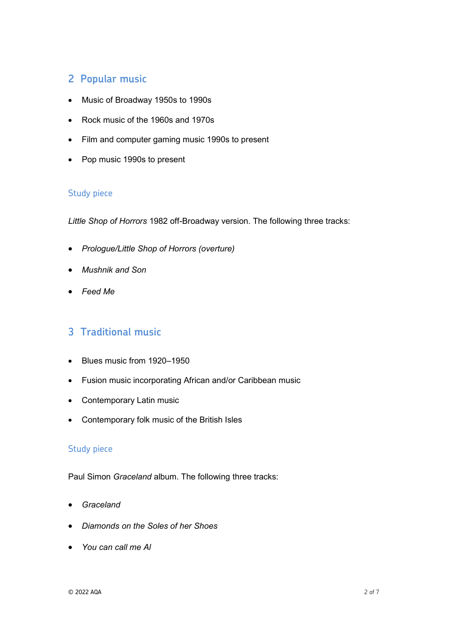# **2 Popular music**

- Music of Broadway 1950s to 1990s
- Rock music of the 1960s and 1970s
- Film and computer gaming music 1990s to present
- Pop music 1990s to present

### Study piece

*Little Shop of Horrors* 1982 off-Broadway version. The following three tracks:

- *Prologue/Little Shop of Horrors (overture)*
- *Mushnik and Son*
- *Feed Me*

## **3 Traditional music**

- Blues music from 1920–1950
- Fusion music incorporating African and/or Caribbean music
- Contemporary Latin music
- Contemporary folk music of the British Isles

### Study piece

Paul Simon *Graceland* album. The following three tracks:

- *Graceland*
- *Diamonds on the Soles of her Shoes*
- *You can call me Al*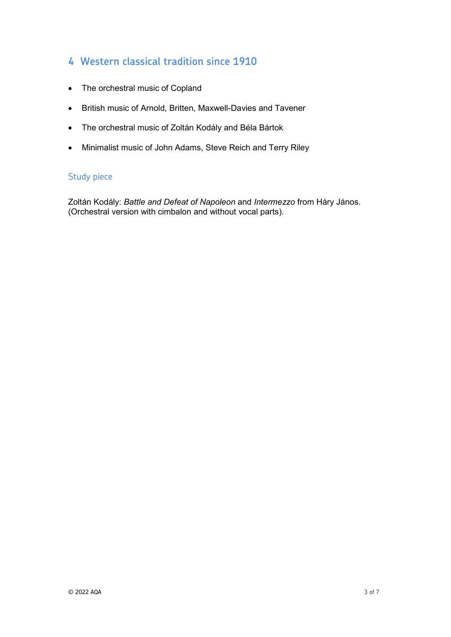# **4 Western classical tradition since 1910**

- The orchestral music of Copland
- British music of Arnold, Britten, Maxwell-Davies and Tavener
- The orchestral music of Zoltán Kodály and Béla Bártok
- Minimalist music of John Adams, Steve Reich and Terry Riley

#### Study piece

Zoltán Kodály: *Battle and Defeat of Napoleon* and *Intermezzo* from Háry János. (Orchestral version with cimbalon and without vocal parts).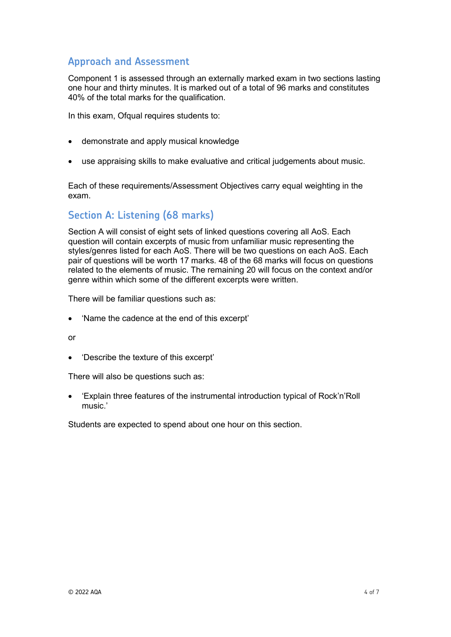### **Approach and Assessment**

Component 1 is assessed through an externally marked exam in two sections lasting one hour and thirty minutes. It is marked out of a total of 96 marks and constitutes 40% of the total marks for the qualification.

In this exam, Ofqual requires students to:

- demonstrate and apply musical knowledge
- use appraising skills to make evaluative and critical judgements about music.

Each of these requirements/Assessment Objectives carry equal weighting in the exam.

### **Section A: Listening (68 marks)**

Section A will consist of eight sets of linked questions covering all AoS. Each question will contain excerpts of music from unfamiliar music representing the styles/genres listed for each AoS. There will be two questions on each AoS. Each pair of questions will be worth 17 marks. 48 of the 68 marks will focus on questions related to the elements of music. The remaining 20 will focus on the context and/or genre within which some of the different excerpts were written.

There will be familiar questions such as:

• 'Name the cadence at the end of this excerpt'

or

• 'Describe the texture of this excerpt'

There will also be questions such as:

• 'Explain three features of the instrumental introduction typical of Rock'n'Roll music.'

Students are expected to spend about one hour on this section.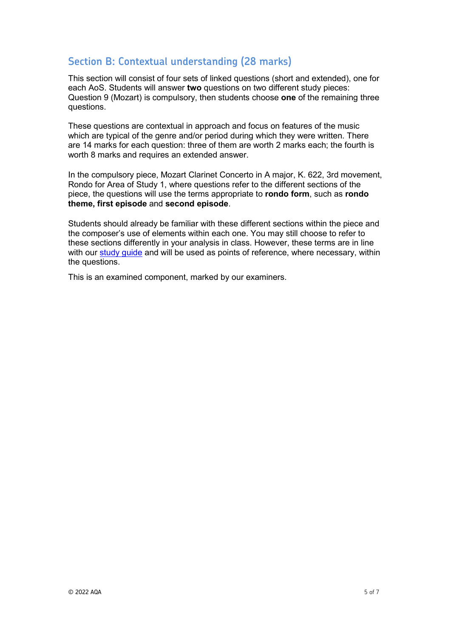## **Section B: Contextual understanding (28 marks)**

This section will consist of four sets of linked questions (short and extended), one for each AoS. Students will answer **two** questions on two different study pieces: Question 9 (Mozart) is compulsory, then students choose **one** of the remaining three questions.

These questions are contextual in approach and focus on features of the music which are typical of the genre and/or period during which they were written. There are 14 marks for each question: three of them are worth 2 marks each; the fourth is worth 8 marks and requires an extended answer.

In the compulsory piece, Mozart Clarinet Concerto in A major, K. 622, 3rd movement, Rondo for Area of Study 1, where questions refer to the different sections of the piece, the questions will use the terms appropriate to **rondo form**, such as **rondo theme, first episode** and **second episode**.

Students should already be familiar with these different sections within the piece and the composer's use of elements within each one. You may still choose to refer to these sections differently in your analysis in class. However, these terms are in line with our study quide and will be used as points of reference, where necessary, within the questions.

This is an examined component, marked by our examiners.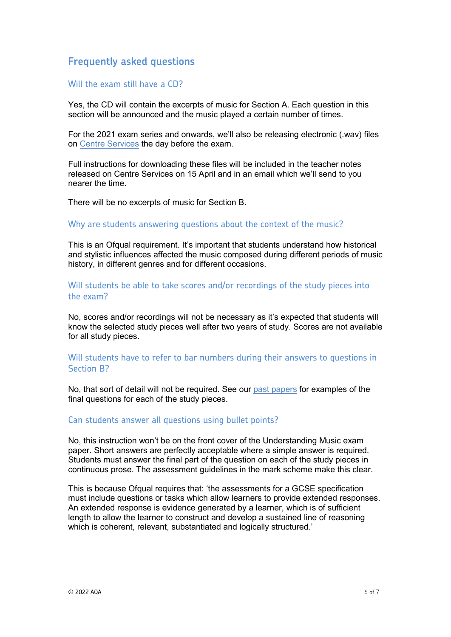### **Frequently asked questions**

#### Will the exam still have a CD?

Yes, the CD will contain the excerpts of music for Section A. Each question in this section will be announced and the music played a certain number of times.

For the 2021 exam series and onwards, we'll also be releasing electronic (.wav) files on [Centre Services](https://onlineservices.aqa.org.uk/) the day before the exam.

Full instructions for downloading these files will be included in the teacher notes released on Centre Services on 15 April and in an email which we'll send to you nearer the time.

There will be no excerpts of music for Section B.

#### Why are students answering questions about the context of the music?

This is an Ofqual requirement. It's important that students understand how historical and stylistic influences affected the music composed during different periods of music history, in different genres and for different occasions.

### Will students be able to take scores and/or recordings of the study pieces into the exam?

No, scores and/or recordings will not be necessary as it's expected that students will know the selected study pieces well after two years of study. Scores are not available for all study pieces.

#### Will students have to refer to bar numbers during their answers to questions in Section B?

No, that sort of detail will not be required. See our past [papers](https://www.aqa.org.uk/subjects/music/gcse/music-8271/assessment-resources) for examples of the final questions for each of the study pieces.

#### Can students answer all questions using bullet points?

No, this instruction won't be on the front cover of the Understanding Music exam paper. Short answers are perfectly acceptable where a simple answer is required. Students must answer the final part of the question on each of the study pieces in continuous prose. The assessment guidelines in the mark scheme make this clear.

This is because Ofqual requires that: 'the assessments for a GCSE specification must include questions or tasks which allow learners to provide extended responses. An extended response is evidence generated by a learner, which is of sufficient length to allow the learner to construct and develop a sustained line of reasoning which is coherent, relevant, substantiated and logically structured.'